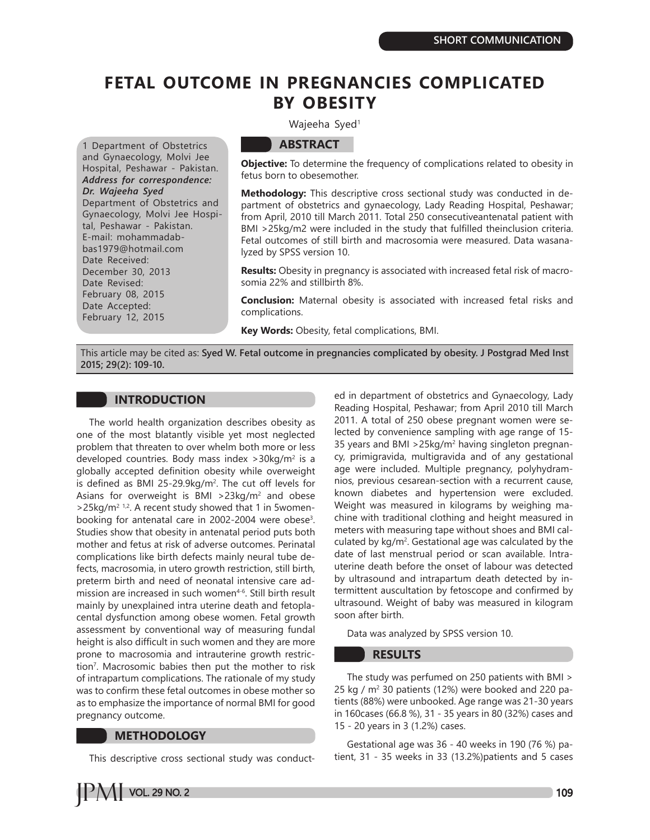# **FETAL OUTCOME IN PREGNANCIES COMPLICATED BY OBESITY**

1 Department of Obstetrics and Gynaecology, Molvi Jee Hospital, Peshawar - Pakistan. *Address for correspondence: Dr. Wajeeha Syed* Department of Obstetrics and Gynaecology, Molvi Jee Hospi-

tal, Peshawar - Pakistan. E-mail: mohammadabbas1979@hotmail.com Date Received: December 30, 2013 Date Revised: February 08, 2015 Date Accepted: February 12, 2015

## Wajeeha Syed<sup>1</sup>

## **ABSTRACT**

**Objective:** To determine the frequency of complications related to obesity in fetus born to obesemother.

**Methodology:** This descriptive cross sectional study was conducted in department of obstetrics and gynaecology, Lady Reading Hospital, Peshawar; from April, 2010 till March 2011. Total 250 consecutiveantenatal patient with BMI >25kg/m2 were included in the study that fulfilled theinclusion criteria. Fetal outcomes of still birth and macrosomia were measured. Data wasanalyzed by SPSS version 10.

**Results:** Obesity in pregnancy is associated with increased fetal risk of macrosomia 22% and stillbirth 8%.

**Conclusion:** Maternal obesity is associated with increased fetal risks and complications.

**Key Words:** Obesity, fetal complications, BMI.

This article may be cited as: **Syed W. Fetal outcome in pregnancies complicated by obesity. J Postgrad Med Inst 2015; 29(2): 109-10.**

# **INTRODUCTION**

The world health organization describes obesity as one of the most blatantly visible yet most neglected problem that threaten to over whelm both more or less developed countries. Body mass index >30kg/m2 is a globally accepted definition obesity while overweight is defined as BMI 25-29.9kg/m2 . The cut off levels for Asians for overweight is BMI >23kg/m<sup>2</sup> and obese >25kg/m<sup>2 1,2</sup>. A recent study showed that 1 in 5womenbooking for antenatal care in 2002-2004 were obese<sup>3</sup>. Studies show that obesity in antenatal period puts both mother and fetus at risk of adverse outcomes. Perinatal complications like birth defects mainly neural tube defects, macrosomia, in utero growth restriction, still birth, preterm birth and need of neonatal intensive care admission are increased in such women<sup>4-6</sup>. Still birth result mainly by unexplained intra uterine death and fetoplacental dysfunction among obese women. Fetal growth assessment by conventional way of measuring fundal height is also difficult in such women and they are more prone to macrosomia and intrauterine growth restriction7 . Macrosomic babies then put the mother to risk of intrapartum complications. The rationale of my study was to confirm these fetal outcomes in obese mother so as to emphasize the importance of normal BMI for good pregnancy outcome.

#### **METHODOLOGY**

This descriptive cross sectional study was conduct-

ed in department of obstetrics and Gynaecology, Lady Reading Hospital, Peshawar; from April 2010 till March 2011. A total of 250 obese pregnant women were selected by convenience sampling with age range of 15- 35 years and BMI >25kg/m<sup>2</sup> having singleton pregnancy, primigravida, multigravida and of any gestational age were included. Multiple pregnancy, polyhydramnios, previous cesarean-section with a recurrent cause, known diabetes and hypertension were excluded. Weight was measured in kilograms by weighing machine with traditional clothing and height measured in meters with measuring tape without shoes and BMI calculated by kg/m<sup>2</sup>. Gestational age was calculated by the date of last menstrual period or scan available. Intrauterine death before the onset of labour was detected by ultrasound and intrapartum death detected by intermittent auscultation by fetoscope and confirmed by ultrasound. Weight of baby was measured in kilogram soon after birth.

Data was analyzed by SPSS version 10.

#### **RESULTS**

The study was perfumed on 250 patients with BMI > 25 kg / m2 30 patients (12%) were booked and 220 patients (88%) were unbooked. Age range was 21-30 years in 160cases (66.8 %), 31 - 35 years in 80 (32%) cases and 15 - 20 years in 3 (1.2%) cases.

Gestational age was 36 - 40 weeks in 190 (76 %) patient, 31 - 35 weeks in 33 (13.2%)patients and 5 cases